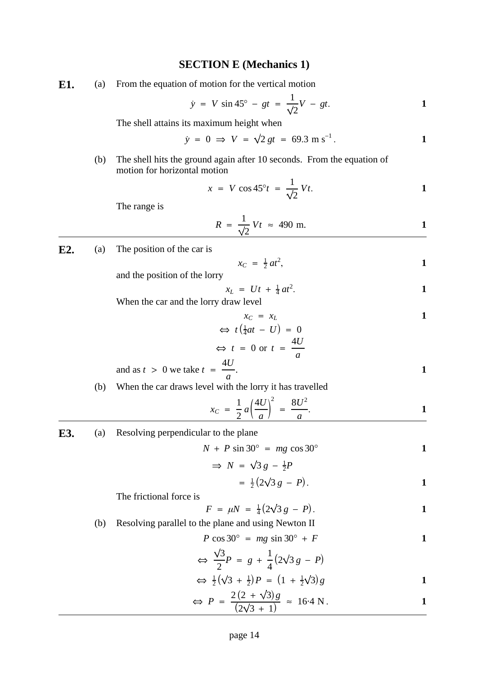## **SECTION E (Mechanics 1)**

**E1.** (a) From the equation of motion for the vertical motion

$$
\dot{y} = V \sin 45^\circ - gt = \frac{1}{\sqrt{2}}V - gt.
$$

The shell attains its maximum height when

$$
\dot{y} = 0 \implies V = \sqrt{2} \, gt = 69.3 \, \text{m s}^{-1}.
$$

(b) The shell hits the ground again after 10 seconds. From the equation of motion for horizontal motion

$$
x = V \cos 45^\circ t = \frac{1}{\sqrt{2}} Vt.
$$

The range is

$$
R = \frac{1}{\sqrt{2}} Vt \approx 490 \text{ m.}
$$

**E2.** (a) The position of the car is

$$
x_C = \frac{1}{2}at^2, \qquad \qquad 1
$$

and the position of the lorry

$$
x_L = Ut + \frac{1}{4}at^2.
$$

When the car and the lorry draw level

$$
x_C = x_L
$$
  
\n
$$
\Leftrightarrow t(\frac{1}{4}at - U) = 0
$$
  
\n
$$
4U
$$

$$
\Leftrightarrow t = 0 \text{ or } t = \frac{4U}{a}
$$
  
and as  $t > 0$  we take  $t = \frac{4U}{a}$ .

(b) When the car draws level with the lorry it has travelled

$$
x_C = \frac{1}{2} a \left(\frac{4U}{a}\right)^2 = \frac{8U^2}{a}.
$$

**E3.** (a) Resolving perpendicular to the plane

$$
N + P \sin 30^{\circ} = mg \cos 30^{\circ}
$$

$$
\Rightarrow N = \sqrt{3} g - \frac{1}{2} P
$$

$$
= \frac{1}{2}(2\sqrt{3} g - P).
$$

The frictional force is

$$
F = \mu N = \frac{1}{4} (2\sqrt{3} g - P).
$$

(b) Resolving parallel to the plane and using Newton II

$$
P\cos 30^\circ = mg\sin 30^\circ + F
$$

$$
\Leftrightarrow \frac{\sqrt{3}}{2}P = g + \frac{1}{4}(2\sqrt{3}g - P)
$$

$$
\Leftrightarrow \frac{1}{2}(\sqrt{3} + \frac{1}{2})P = \left(1 + \frac{1}{2}\sqrt{3}\right)g
$$

$$
\Leftrightarrow P = \frac{2(2+\sqrt{3})g}{(2\sqrt{3}+1)} \approx 16.4 \text{ N}.
$$